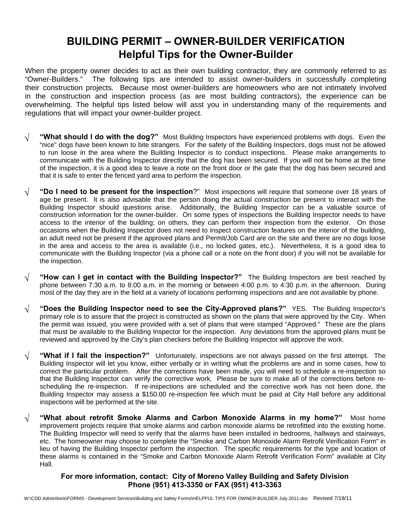# **BUILDING PERMIT – OWNER-BUILDER VERIFICATION Helpful Tips for the Owner-Builder**

When the property owner decides to act as their own building contractor, they are commonly referred to as "Owner-Builders." The following tips are intended to assist owner-builders in successfully completing their construction projects. Because most owner-builders are homeowners who are not intimately involved in the construction and inspection process (as are most building contractors), the experience can be overwhelming. The helpful tips listed below will asst you in understanding many of the requirements and regulations that will impact your owner-builder project.

- **√ "What should I do with the dog?"** Most Building Inspectors have experienced problems with dogs. Even the "nice" dogs have been known to bite strangers. For the safety of the Building Inspectors, dogs must not be allowed to run loose in the area where the Building Inspector is to conduct inspections. Please make arrangements to communicate with the Building Inspector directly that the dog has been secured. If you will not be home at the time of the inspection, it is a good idea to leave a note on the front door or the gate that the dog has been secured and that it is safe to enter the fenced yard area to perform the inspection.
- **√ "Do I need to be present for the inspection**?" Most inspections will require that someone over 18 years of age be present. It is also advisable that the person doing the actual construction be present to interact with the Building Inspector should questions arise. Additionally, the Building Inspector can be a valuable source of construction information for the owner-builder. On some types of inspections the Building Inspector needs to have access to the interior of the building; on others, they can perform their inspection from the exterior. On those occasions when the Building Inspector does not need to inspect construction features on the interior of the building, an adult need not be present if the approved plans and Permit/Job Card are on the site and there are no dogs loose in the area and access to the area is available (i.e., no locked gates, etc.). Nevertheless, it is a good idea to communicate with the Building Inspector (via a phone call or a note on the front door) if you will not be available for the inspection.
- **√ "How can I get in contact with the Building Inspector?"** The Building Inspectors are best reached by phone between 7:30 a.m. to 8:00 a.m. in the morning or between 4:00 p.m. to 4:30 p.m. in the afternoon. During most of the day they are in the field at a variety of locations performing inspections and are not available by phone.
- **√ "Does the Building Inspector need to see the City-Approved plans?"** YES. The Building Inspector's primary role is to assure that the project is constructed as shown on the plans that were approved by the City. When the permit was issued, you were provided with a set of plans that were stamped "Approved." These are the plans that must be available to the Building Inspector for the inspection. Any deviations from the approved plans must be reviewed and approved by the City's plan checkers before the Building Inspector will approve the work.
- **√ "What if I fail the inspection?"** Unfortunately, inspections are not always passed on the first attempt. The Building Inspector will let you know, either verbally or in writing what the problems are and in some cases, how to correct the particular problem. After the corrections have been made, you will need to schedule a re-inspection so that the Building Inspector can verify the corrective work. Please be sure to make all of the corrections before rescheduling the re-inspection. If re-inspections are scheduled and the corrective work has not been done, the Building Inspector may assess a \$150.00 re-inspection fee which must be paid at City Hall before any additional inspections will be performed at the site.
- **√ "What about retrofit Smoke Alarms and Carbon Monoxide Alarms in my home?"** Most home improvement projects require that smoke alarms and carbon monoxide alarms be retrofitted into the existing home. The Building Inspector will need to verify that the alarms have been installed in bedrooms, hallways and stairways, etc. The homeowner may choose to complete the "Smoke and Carbon Monoxide Alarm Retrofit Verification Form" in lieu of having the Building Inspector perform the inspection. The specific requirements for the type and location of these alarms is contained in the "Smoke and Carbon Monoxide Alarm Retrofit Verification Form" available at City Hall.

#### **For more information, contact: City of Moreno Valley Building and Safety Division Phone (951) 413-3350 or FAX (951) 413-3363**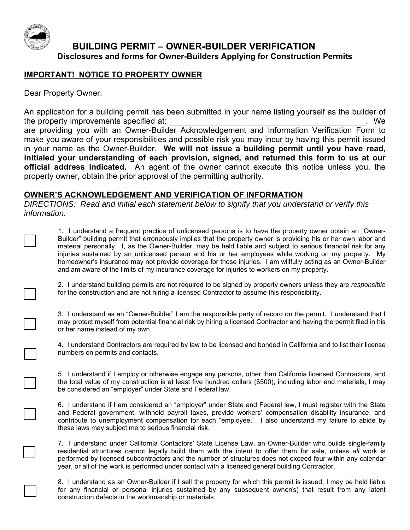

## **BUILDING PERMIT – OWNER-BUILDER VERIFICATION Disclosures and forms for Owner-Builders Applying for Construction Permits**

### **IMPORTANT! NOTICE TO PROPERTY OWNER**

Dear Property Owner:

An application for a building permit has been submitted in your name listing yourself as the builder of the property improvements specified at:  $\blacksquare$ are providing you with an Owner-Builder Acknowledgement and Information Verification Form to

make you aware of your responsibilities and possible risk you may incur by having this permit issued in your name as the Owner-Builder. **We will not issue a building permit until you have read, initialed your understanding of each provision, signed, and returned this form to us at our official address indicated.** An agent of the owner cannot execute this notice unless you, the property owner, obtain the prior approval of the permitting authority.

### **OWNER'S ACKNOWLEDGEMENT AND VERIFICATION OF INFORMATION**

*DIRECTIONS: Read and initial each statement below to signify that you understand or verify this information.* 

□

□

□

□

□

□

□

□

 1. I understand a frequent practice of unlicensed persons is to have the property owner obtain an "Owner- material personally. I, as the Owner-Builder, may be held liable and subject to serious financial risk for any injuries sustained by an unlicensed person and his or her employees while working on my property. My homeowner's insurance may not provide coverage for those injuries. I am willfully acting as an Owner-Builder Builder" building permit that erroneously implies that the property owner is providing his or her own labor and and am aware of the limits of my insurance coverage for injuries to workers on my property.

2. I understand building permits are not required to be signed by property owners unless they are *responsible*  for the construction and are not hiring a licensed Contractor to assume this responsibility.

3. I understand as an "Owner-Builder" I am the responsible party of record on the permit. I understand that I may protect myself from potential financial risk by hiring a licensed Contractor and having the permit filed in his or her name instead of my own.

4. I understand Contractors are required by law to be licensed and bonded in California and to list their license numbers on permits and contacts.

 5. I understand if I employ or otherwise engage any persons, other than California licensed Contractors, and the total value of my construction is at least five hundred dollars (\$500), including labor and materials, I may be considered an "employer" under State and Federal law.

6. I understand if I am considered an "employer" under State and Federal law, I must register with the State and Federal government, withhold payroll taxes, provide workers' compensation disability insurance, and contribute to unemployment compensation for each "employee." I also understand my failure to abide by these laws may subject me to serious financial risk.

 7. I understand under California Contactors' State License Law, an Owner-Builder who builds single-family residential structures cannot legally build them with the intent to offer them for sale, unless *all* work is performed by licensed subcontractors and the number of structures does not exceed four within any calendar year, or all of the work is performed under contact with a licensed general building Contractor.

 8. I understand as an Owner-Builder if I sell the property for which this permit is issued, I may be held liable for any financial or personal injuries sustained by any subsequent owner(s) that result from any latent construction defects in the workmanship or materials.